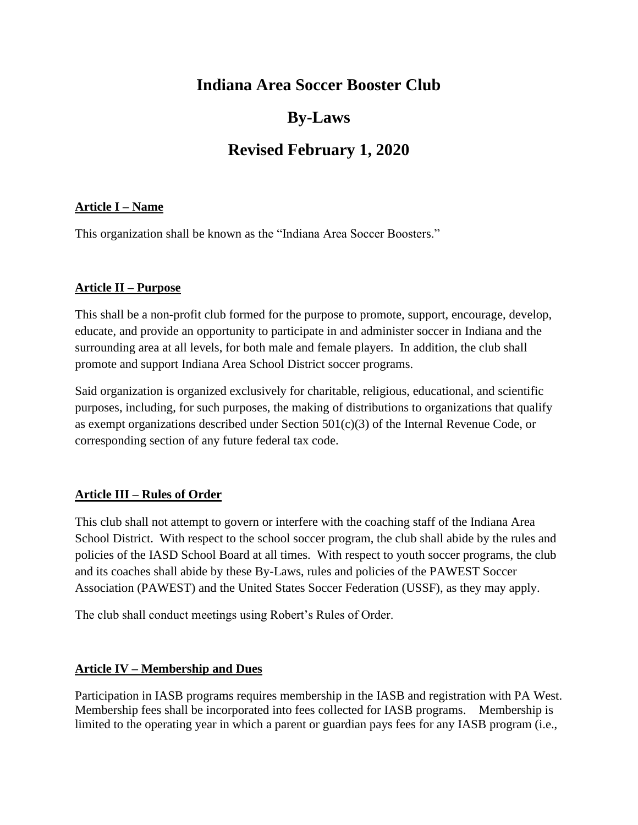# **Indiana Area Soccer Booster Club**

# **By-Laws**

# **Revised February 1, 2020**

## **Article I – Name**

This organization shall be known as the "Indiana Area Soccer Boosters."

## **Article II – Purpose**

This shall be a non-profit club formed for the purpose to promote, support, encourage, develop, educate, and provide an opportunity to participate in and administer soccer in Indiana and the surrounding area at all levels, for both male and female players. In addition, the club shall promote and support Indiana Area School District soccer programs.

Said organization is organized exclusively for charitable, religious, educational, and scientific purposes, including, for such purposes, the making of distributions to organizations that qualify as exempt organizations described under Section 501(c)(3) of the Internal Revenue Code, or corresponding section of any future federal tax code.

# **Article III – Rules of Order**

This club shall not attempt to govern or interfere with the coaching staff of the Indiana Area School District. With respect to the school soccer program, the club shall abide by the rules and policies of the IASD School Board at all times. With respect to youth soccer programs, the club and its coaches shall abide by these By-Laws, rules and policies of the PAWEST Soccer Association (PAWEST) and the United States Soccer Federation (USSF), as they may apply.

The club shall conduct meetings using Robert's Rules of Order.

# **Article IV – Membership and Dues**

Participation in IASB programs requires membership in the IASB and registration with PA West. Membership fees shall be incorporated into fees collected for IASB programs. Membership is limited to the operating year in which a parent or guardian pays fees for any IASB program (i.e.,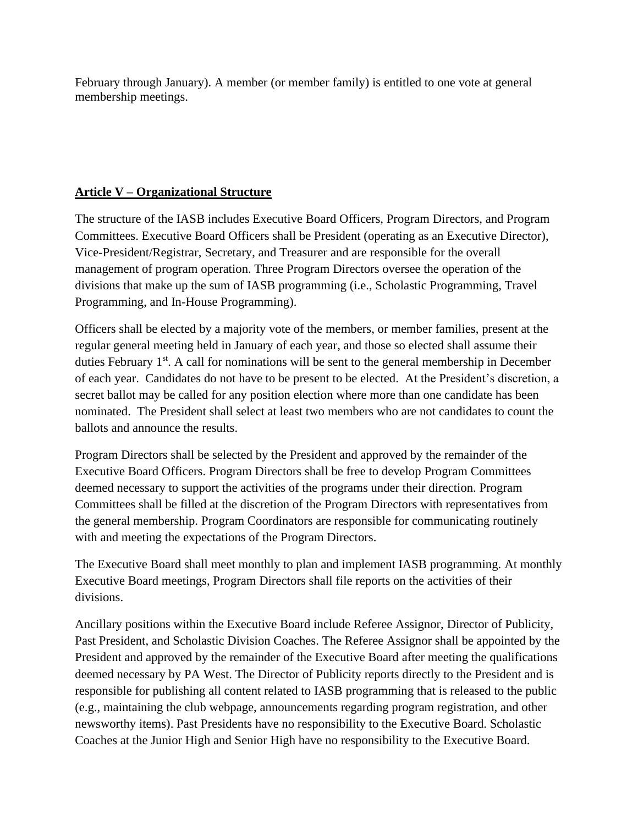February through January). A member (or member family) is entitled to one vote at general membership meetings.

## **Article V – Organizational Structure**

The structure of the IASB includes Executive Board Officers, Program Directors, and Program Committees. Executive Board Officers shall be President (operating as an Executive Director), Vice-President/Registrar, Secretary, and Treasurer and are responsible for the overall management of program operation. Three Program Directors oversee the operation of the divisions that make up the sum of IASB programming (i.e., Scholastic Programming, Travel Programming, and In-House Programming).

Officers shall be elected by a majority vote of the members, or member families, present at the regular general meeting held in January of each year, and those so elected shall assume their duties February 1<sup>st</sup>. A call for nominations will be sent to the general membership in December of each year. Candidates do not have to be present to be elected. At the President's discretion, a secret ballot may be called for any position election where more than one candidate has been nominated. The President shall select at least two members who are not candidates to count the ballots and announce the results.

Program Directors shall be selected by the President and approved by the remainder of the Executive Board Officers. Program Directors shall be free to develop Program Committees deemed necessary to support the activities of the programs under their direction. Program Committees shall be filled at the discretion of the Program Directors with representatives from the general membership. Program Coordinators are responsible for communicating routinely with and meeting the expectations of the Program Directors.

The Executive Board shall meet monthly to plan and implement IASB programming. At monthly Executive Board meetings, Program Directors shall file reports on the activities of their divisions.

Ancillary positions within the Executive Board include Referee Assignor, Director of Publicity, Past President, and Scholastic Division Coaches. The Referee Assignor shall be appointed by the President and approved by the remainder of the Executive Board after meeting the qualifications deemed necessary by PA West. The Director of Publicity reports directly to the President and is responsible for publishing all content related to IASB programming that is released to the public (e.g., maintaining the club webpage, announcements regarding program registration, and other newsworthy items). Past Presidents have no responsibility to the Executive Board. Scholastic Coaches at the Junior High and Senior High have no responsibility to the Executive Board.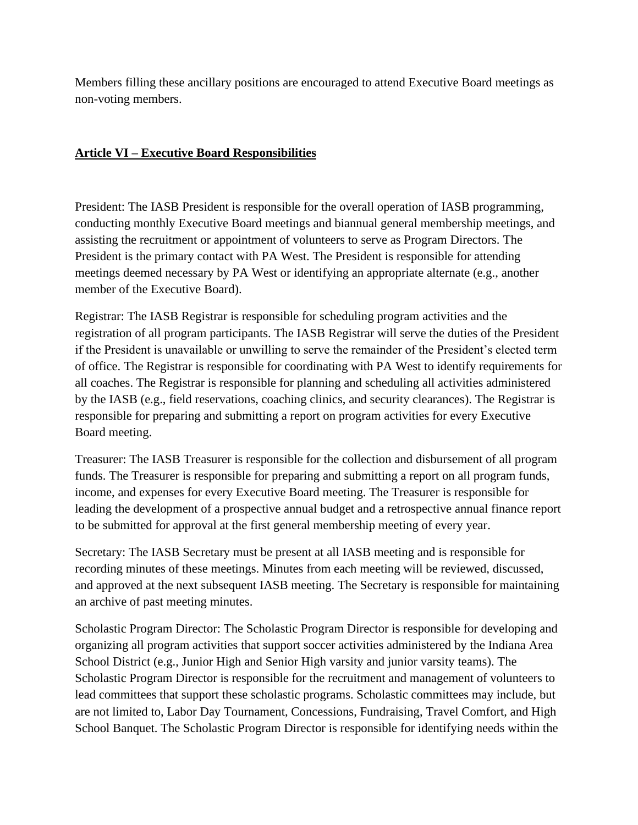Members filling these ancillary positions are encouraged to attend Executive Board meetings as non-voting members.

#### **Article VI – Executive Board Responsibilities**

President: The IASB President is responsible for the overall operation of IASB programming, conducting monthly Executive Board meetings and biannual general membership meetings, and assisting the recruitment or appointment of volunteers to serve as Program Directors. The President is the primary contact with PA West. The President is responsible for attending meetings deemed necessary by PA West or identifying an appropriate alternate (e.g., another member of the Executive Board).

Registrar: The IASB Registrar is responsible for scheduling program activities and the registration of all program participants. The IASB Registrar will serve the duties of the President if the President is unavailable or unwilling to serve the remainder of the President's elected term of office. The Registrar is responsible for coordinating with PA West to identify requirements for all coaches. The Registrar is responsible for planning and scheduling all activities administered by the IASB (e.g., field reservations, coaching clinics, and security clearances). The Registrar is responsible for preparing and submitting a report on program activities for every Executive Board meeting.

Treasurer: The IASB Treasurer is responsible for the collection and disbursement of all program funds. The Treasurer is responsible for preparing and submitting a report on all program funds, income, and expenses for every Executive Board meeting. The Treasurer is responsible for leading the development of a prospective annual budget and a retrospective annual finance report to be submitted for approval at the first general membership meeting of every year.

Secretary: The IASB Secretary must be present at all IASB meeting and is responsible for recording minutes of these meetings. Minutes from each meeting will be reviewed, discussed, and approved at the next subsequent IASB meeting. The Secretary is responsible for maintaining an archive of past meeting minutes.

Scholastic Program Director: The Scholastic Program Director is responsible for developing and organizing all program activities that support soccer activities administered by the Indiana Area School District (e.g., Junior High and Senior High varsity and junior varsity teams). The Scholastic Program Director is responsible for the recruitment and management of volunteers to lead committees that support these scholastic programs. Scholastic committees may include, but are not limited to, Labor Day Tournament, Concessions, Fundraising, Travel Comfort, and High School Banquet. The Scholastic Program Director is responsible for identifying needs within the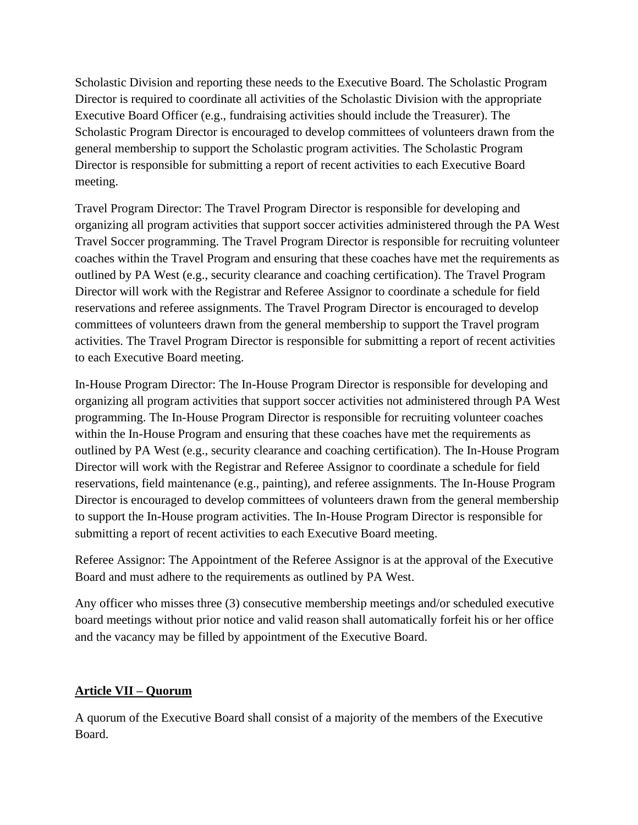Scholastic Division and reporting these needs to the Executive Board. The Scholastic Program Director is required to coordinate all activities of the Scholastic Division with the appropriate Executive Board Officer (e.g., fundraising activities should include the Treasurer). The Scholastic Program Director is encouraged to develop committees of volunteers drawn from the general membership to support the Scholastic program activities. The Scholastic Program Director is responsible for submitting a report of recent activities to each Executive Board meeting.

Travel Program Director: The Travel Program Director is responsible for developing and organizing all program activities that support soccer activities administered through the PA West Travel Soccer programming. The Travel Program Director is responsible for recruiting volunteer coaches within the Travel Program and ensuring that these coaches have met the requirements as outlined by PA West (e.g., security clearance and coaching certification). The Travel Program Director will work with the Registrar and Referee Assignor to coordinate a schedule for field reservations and referee assignments. The Travel Program Director is encouraged to develop committees of volunteers drawn from the general membership to support the Travel program activities. The Travel Program Director is responsible for submitting a report of recent activities to each Executive Board meeting.

In-House Program Director: The In-House Program Director is responsible for developing and organizing all program activities that support soccer activities not administered through PA West programming. The In-House Program Director is responsible for recruiting volunteer coaches within the In-House Program and ensuring that these coaches have met the requirements as outlined by PA West (e.g., security clearance and coaching certification). The In-House Program Director will work with the Registrar and Referee Assignor to coordinate a schedule for field reservations, field maintenance (e.g., painting), and referee assignments. The In-House Program Director is encouraged to develop committees of volunteers drawn from the general membership to support the In-House program activities. The In-House Program Director is responsible for submitting a report of recent activities to each Executive Board meeting.

Referee Assignor: The Appointment of the Referee Assignor is at the approval of the Executive Board and must adhere to the requirements as outlined by PA West.

Any officer who misses three (3) consecutive membership meetings and/or scheduled executive board meetings without prior notice and valid reason shall automatically forfeit his or her office and the vacancy may be filled by appointment of the Executive Board.

# **Article VII – Quorum**

A quorum of the Executive Board shall consist of a majority of the members of the Executive Board.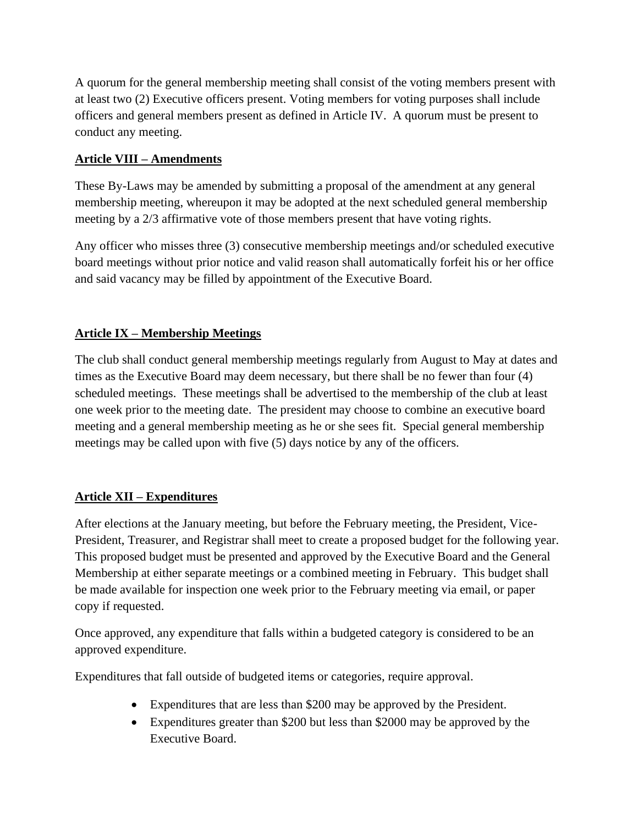A quorum for the general membership meeting shall consist of the voting members present with at least two (2) Executive officers present. Voting members for voting purposes shall include officers and general members present as defined in Article IV. A quorum must be present to conduct any meeting.

## **Article VIII – Amendments**

These By-Laws may be amended by submitting a proposal of the amendment at any general membership meeting, whereupon it may be adopted at the next scheduled general membership meeting by a 2/3 affirmative vote of those members present that have voting rights.

Any officer who misses three (3) consecutive membership meetings and/or scheduled executive board meetings without prior notice and valid reason shall automatically forfeit his or her office and said vacancy may be filled by appointment of the Executive Board.

# **Article IX – Membership Meetings**

The club shall conduct general membership meetings regularly from August to May at dates and times as the Executive Board may deem necessary, but there shall be no fewer than four (4) scheduled meetings. These meetings shall be advertised to the membership of the club at least one week prior to the meeting date. The president may choose to combine an executive board meeting and a general membership meeting as he or she sees fit. Special general membership meetings may be called upon with five (5) days notice by any of the officers.

# **Article XII – Expenditures**

After elections at the January meeting, but before the February meeting, the President, Vice-President, Treasurer, and Registrar shall meet to create a proposed budget for the following year. This proposed budget must be presented and approved by the Executive Board and the General Membership at either separate meetings or a combined meeting in February. This budget shall be made available for inspection one week prior to the February meeting via email, or paper copy if requested.

Once approved, any expenditure that falls within a budgeted category is considered to be an approved expenditure.

Expenditures that fall outside of budgeted items or categories, require approval.

- Expenditures that are less than \$200 may be approved by the President.
- Expenditures greater than \$200 but less than \$2000 may be approved by the Executive Board.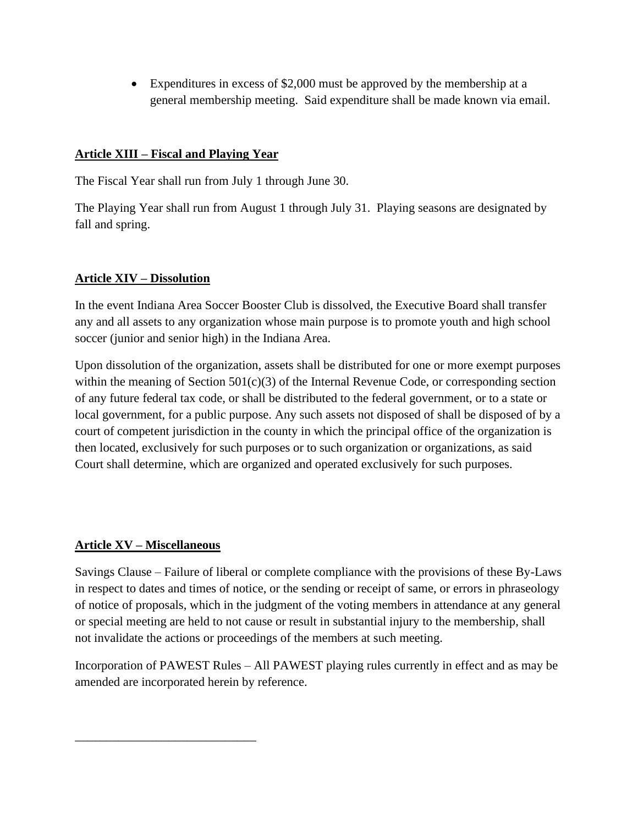• Expenditures in excess of \$2,000 must be approved by the membership at a general membership meeting. Said expenditure shall be made known via email.

## **Article XIII – Fiscal and Playing Year**

The Fiscal Year shall run from July 1 through June 30.

The Playing Year shall run from August 1 through July 31. Playing seasons are designated by fall and spring.

## **Article XIV – Dissolution**

In the event Indiana Area Soccer Booster Club is dissolved, the Executive Board shall transfer any and all assets to any organization whose main purpose is to promote youth and high school soccer (junior and senior high) in the Indiana Area.

Upon dissolution of the organization, assets shall be distributed for one or more exempt purposes within the meaning of Section 501(c)(3) of the Internal Revenue Code, or corresponding section of any future federal tax code, or shall be distributed to the federal government, or to a state or local government, for a public purpose. Any such assets not disposed of shall be disposed of by a court of competent jurisdiction in the county in which the principal office of the organization is then located, exclusively for such purposes or to such organization or organizations, as said Court shall determine, which are organized and operated exclusively for such purposes.

# **Article XV – Miscellaneous**

\_\_\_\_\_\_\_\_\_\_\_\_\_\_\_\_\_\_\_\_\_\_\_\_\_\_\_\_\_

Savings Clause – Failure of liberal or complete compliance with the provisions of these By-Laws in respect to dates and times of notice, or the sending or receipt of same, or errors in phraseology of notice of proposals, which in the judgment of the voting members in attendance at any general or special meeting are held to not cause or result in substantial injury to the membership, shall not invalidate the actions or proceedings of the members at such meeting.

Incorporation of PAWEST Rules – All PAWEST playing rules currently in effect and as may be amended are incorporated herein by reference.